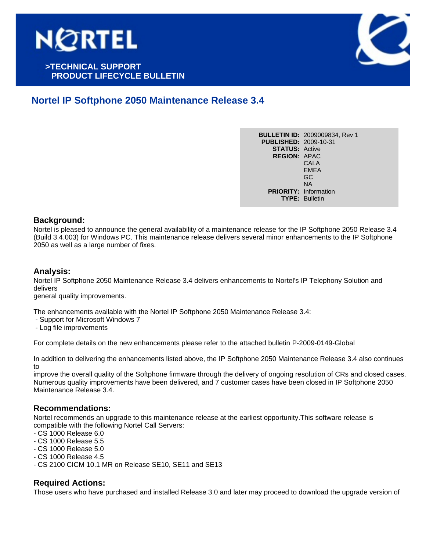

# **>TECHNICAL SUPPORT . PRODUCT LIFECYCLE BULLETIN**



# **Nortel IP Softphone 2050 Maintenance Release 3.4**

**BULLETIN ID:** 2009009834, Rev 1 **PUBLISHED:** 2009-10-31 **STATUS:** Active **REGION:** APAC CALA EMEA GC NA **PRIORITY:** Information **TYPE:** Bulletin

### **Background:**

Nortel is pleased to announce the general availability of a maintenance release for the IP Softphone 2050 Release 3.4 (Build 3.4.003) for Windows PC. This maintenance release delivers several minor enhancements to the IP Softphone 2050 as well as a large number of fixes.

### **Analysis:**

Nortel IP Softphone 2050 Maintenance Release 3.4 delivers enhancements to Nortel's IP Telephony Solution and delivers

general quality improvements.

The enhancements available with the Nortel IP Softphone 2050 Maintenance Release 3.4:

- Support for Microsoft Windows 7
- Log file improvements

For complete details on the new enhancements please refer to the attached bulletin P-2009-0149-Global

In addition to delivering the enhancements listed above, the IP Softphone 2050 Maintenance Release 3.4 also continues to

improve the overall quality of the Softphone firmware through the delivery of ongoing resolution of CRs and closed cases. Numerous quality improvements have been delivered, and 7 customer cases have been closed in IP Softphone 2050 Maintenance Release 3.4.

#### **Recommendations:**

Nortel recommends an upgrade to this maintenance release at the earliest opportunity.This software release is compatible with the following Nortel Call Servers:

- CS 1000 Release 6.0
- CS 1000 Release 5.5
- CS 1000 Release 5.0
- CS 1000 Release 4.5
- CS 2100 CICM 10.1 MR on Release SE10, SE11 and SE13

#### **Required Actions:**

Those users who have purchased and installed Release 3.0 and later may proceed to download the upgrade version of